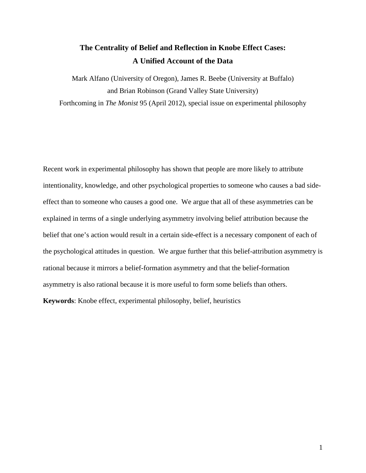# **The Centrality of Belief and Reflection in Knobe Effect Cases: A Unified Account of the Data**

Mark Alfano (University of Oregon), James R. Beebe (University at Buffalo) and Brian Robinson (Grand Valley State University) Forthcoming in *The Monist* 95 (April 2012), special issue on experimental philosophy

Recent work in experimental philosophy has shown that people are more likely to attribute intentionality, knowledge, and other psychological properties to someone who causes a bad sideeffect than to someone who causes a good one. We argue that all of these asymmetries can be explained in terms of a single underlying asymmetry involving belief attribution because the belief that one's action would result in a certain side-effect is a necessary component of each of the psychological attitudes in question. We argue further that this belief-attribution asymmetry is rational because it mirrors a belief-formation asymmetry and that the belief-formation asymmetry is also rational because it is more useful to form some beliefs than others. **Keywords**: Knobe effect, experimental philosophy, belief, heuristics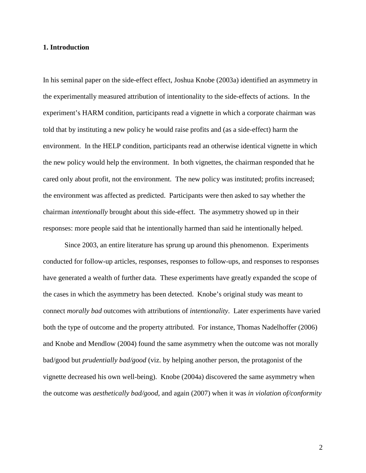#### **1. Introduction**

In his seminal paper on the side-effect effect, Joshua Knobe (2003a) identified an asymmetry in the experimentally measured attribution of intentionality to the side-effects of actions. In the experiment's HARM condition, participants read a vignette in which a corporate chairman was told that by instituting a new policy he would raise profits and (as a side-effect) harm the environment. In the HELP condition, participants read an otherwise identical vignette in which the new policy would help the environment. In both vignettes, the chairman responded that he cared only about profit, not the environment. The new policy was instituted; profits increased; the environment was affected as predicted. Participants were then asked to say whether the chairman *intentionally* brought about this side-effect. The asymmetry showed up in their responses: more people said that he intentionally harmed than said he intentionally helped.

Since 2003, an entire literature has sprung up around this phenomenon. Experiments conducted for follow-up articles, responses, responses to follow-ups, and responses to responses have generated a wealth of further data. These experiments have greatly expanded the scope of the cases in which the asymmetry has been detected. Knobe's original study was meant to connect *morally bad* outcomes with attributions of *intentionality*. Later experiments have varied both the type of outcome and the property attributed. For instance, Thomas Nadelhoffer (2006) and Knobe and Mendlow (2004) found the same asymmetry when the outcome was not morally bad/good but *prudentially bad/good* (viz. by helping another person, the protagonist of the vignette decreased his own well-being). Knobe (2004a) discovered the same asymmetry when the outcome was *aesthetically bad/good*, and again (2007) when it was *in violation of/conformity*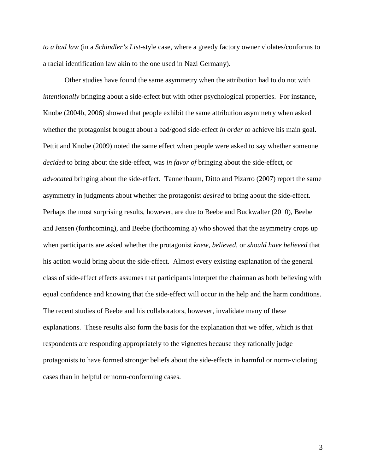*to a bad law* (in a *Schindler's List*-style case, where a greedy factory owner violates/conforms to a racial identification law akin to the one used in Nazi Germany).

Other studies have found the same asymmetry when the attribution had to do not with *intentionally* bringing about a side-effect but with other psychological properties. For instance, Knobe (2004b, 2006) showed that people exhibit the same attribution asymmetry when asked whether the protagonist brought about a bad/good side-effect *in order to* achieve his main goal. Pettit and Knobe (2009) noted the same effect when people were asked to say whether someone *decided* to bring about the side-effect, was *in favor of* bringing about the side-effect*,* or *advocated* bringing about the side-effect. Tannenbaum, Ditto and Pizarro (2007) report the same asymmetry in judgments about whether the protagonist *desired* to bring about the side-effect. Perhaps the most surprising results, however, are due to Beebe and Buckwalter (2010), Beebe and Jensen (forthcoming), and Beebe (forthcoming a) who showed that the asymmetry crops up when participants are asked whether the protagonist *knew*, *believed,* or *should have believed* that his action would bring about the side-effect. Almost every existing explanation of the general class of side-effect effects assumes that participants interpret the chairman as both believing with equal confidence and knowing that the side-effect will occur in the help and the harm conditions. The recent studies of Beebe and his collaborators, however, invalidate many of these explanations. These results also form the basis for the explanation that we offer, which is that respondents are responding appropriately to the vignettes because they rationally judge protagonists to have formed stronger beliefs about the side-effects in harmful or norm-violating cases than in helpful or norm-conforming cases.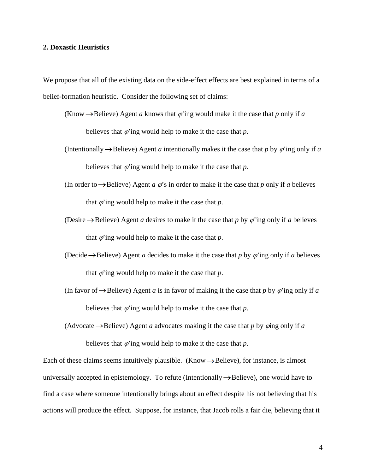# **2. Doxastic Heuristics**

We propose that all of the existing data on the side-effect effects are best explained in terms of a belief-formation heuristic. Consider the following set of claims:

- (Know  $\rightarrow$  Believe) Agent *a* knows that  $\varphi$  ing would make it the case that *p* only if *a* believes that  $\varphi'$  ing would help to make it the case that  $p$ .
- (Intentionally  $\rightarrow$  Believe) Agent *a* intentionally makes it the case that *p* by  $\varphi$  ing only if *a* believes that  $\varphi$ 'ing would help to make it the case that  $p$ .
- (In order to  $\rightarrow$  Believe) Agent *a*  $\varphi$ 's in order to make it the case that *p* only if *a* believes that  $\varphi$  ing would help to make it the case that  $p$ .
- (Desire  $\rightarrow$  Believe) Agent *a* desires to make it the case that *p* by  $\varphi$  ing only if *a* believes that  $\varphi$ 'ing would help to make it the case that  $p$ .
- (Decide  $\rightarrow$  Believe) Agent *a* decides to make it the case that *p* by  $\varphi$  ing only if *a* believes that  $\varphi$ 'ing would help to make it the case that  $p$ .
- (In favor of  $\rightarrow$  Believe) Agent *a* is in favor of making it the case that *p* by  $\varphi$  ing only if *a* believes that  $\varphi$ 'ing would help to make it the case that  $p$ .

(Advocate  $\rightarrow$  Believe) Agent *a* advocates making it the case that *p* by  $\phi$ ing only if *a* believes that  $\varphi$  ing would help to make it the case that  $p$ .

Each of these claims seems intuitively plausible. (Know  $\rightarrow$  Believe), for instance, is almost universally accepted in epistemology. To refute (Intentionally  $\rightarrow$  Believe), one would have to find a case where someone intentionally brings about an effect despite his not believing that his actions will produce the effect. Suppose, for instance, that Jacob rolls a fair die, believing that it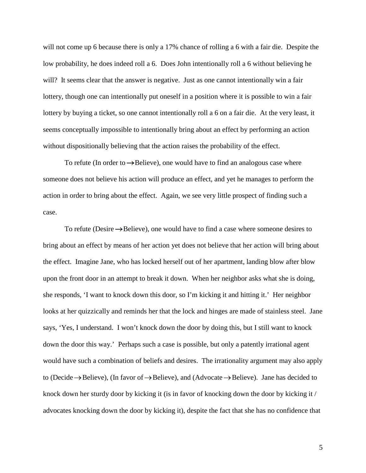will not come up 6 because there is only a 17% chance of rolling a 6 with a fair die. Despite the low probability, he does indeed roll a 6. Does John intentionally roll a 6 without believing he will? It seems clear that the answer is negative. Just as one cannot intentionally win a fair lottery, though one can intentionally put oneself in a position where it is possible to win a fair lottery by buying a ticket, so one cannot intentionally roll a 6 on a fair die. At the very least, it seems conceptually impossible to intentionally bring about an effect by performing an action without dispositionally believing that the action raises the probability of the effect.

To refute (In order to  $\rightarrow$  Believe), one would have to find an analogous case where someone does not believe his action will produce an effect, and yet he manages to perform the action in order to bring about the effect. Again, we see very little prospect of finding such a case.

To refute (Desire  $\rightarrow$  Believe), one would have to find a case where someone desires to bring about an effect by means of her action yet does not believe that her action will bring about the effect. Imagine Jane, who has locked herself out of her apartment, landing blow after blow upon the front door in an attempt to break it down. When her neighbor asks what she is doing, she responds, 'I want to knock down this door, so I'm kicking it and hitting it.' Her neighbor looks at her quizzically and reminds her that the lock and hinges are made of stainless steel. Jane says, 'Yes, I understand. I won't knock down the door by doing this, but I still want to knock down the door this way.' Perhaps such a case is possible, but only a patently irrational agent would have such a combination of beliefs and desires. The irrationality argument may also apply to (Decide  $\rightarrow$  Believe), (In favor of  $\rightarrow$  Believe), and (Advocate  $\rightarrow$  Believe). Jane has decided to knock down her sturdy door by kicking it (is in favor of knocking down the door by kicking it / advocates knocking down the door by kicking it), despite the fact that she has no confidence that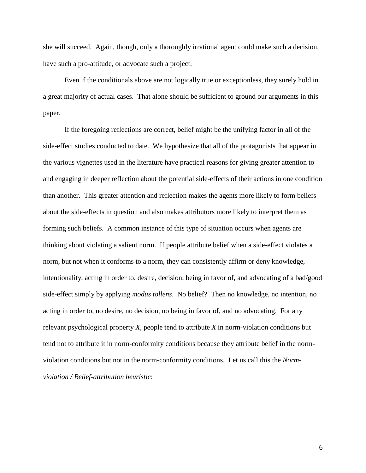she will succeed. Again, though, only a thoroughly irrational agent could make such a decision, have such a pro-attitude, or advocate such a project.

Even if the conditionals above are not logically true or exceptionless, they surely hold in a great majority of actual cases. That alone should be sufficient to ground our arguments in this paper.

If the foregoing reflections are correct, belief might be the unifying factor in all of the side-effect studies conducted to date. We hypothesize that all of the protagonists that appear in the various vignettes used in the literature have practical reasons for giving greater attention to and engaging in deeper reflection about the potential side-effects of their actions in one condition than another. This greater attention and reflection makes the agents more likely to form beliefs about the side-effects in question and also makes attributors more likely to interpret them as forming such beliefs. A common instance of this type of situation occurs when agents are thinking about violating a salient norm. If people attribute belief when a side-effect violates a norm, but not when it conforms to a norm, they can consistently affirm or deny knowledge, intentionality, acting in order to, desire, decision, being in favor of, and advocating of a bad/good side-effect simply by applying *modus tollens*. No belief? Then no knowledge, no intention, no acting in order to, no desire, no decision, no being in favor of, and no advocating. For any relevant psychological property *X,* people tend to attribute *X* in norm-violation conditions but tend not to attribute it in norm-conformity conditions because they attribute belief in the normviolation conditions but not in the norm-conformity conditions. Let us call this the *Normviolation / Belief-attribution heuristic*: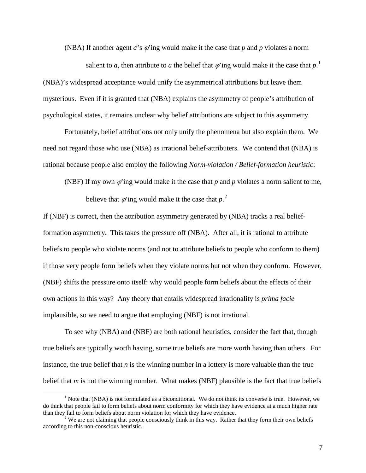(NBA) If another agent  $a$ 's  $\varphi$ 'ing would make it the case that  $p$  and  $p$  violates a norm

salient to *a*, then attribute to *a* the belief that  $\varphi$  ing would make it the case that  $p$ .<sup>[1](#page-6-0)</sup> (NBA)'s widespread acceptance would unify the asymmetrical attributions but leave them mysterious. Even if it is granted that (NBA) explains the asymmetry of people's attribution of psychological states, it remains unclear why belief attributions are subject to this asymmetry.

Fortunately, belief attributions not only unify the phenomena but also explain them. We need not regard those who use (NBA) as irrational belief-attributers. We contend that (NBA) is rational because people also employ the following *Norm-violation / Belief-formation heuristic*:

(NBF) If my own  $\varphi$  ing would make it the case that  $p$  and  $p$  violates a norm salient to me,

believe that  $\varphi$  ing would make it the case that  $p^2$  $p^2$ .

If (NBF) is correct, then the attribution asymmetry generated by (NBA) tracks a real beliefformation asymmetry. This takes the pressure off (NBA). After all, it is rational to attribute beliefs to people who violate norms (and not to attribute beliefs to people who conform to them) if those very people form beliefs when they violate norms but not when they conform. However, (NBF) shifts the pressure onto itself: why would people form beliefs about the effects of their own actions in this way? Any theory that entails widespread irrationality is *prima facie* implausible, so we need to argue that employing (NBF) is not irrational.

To see why (NBA) and (NBF) are both rational heuristics, consider the fact that, though true beliefs are typically worth having, some true beliefs are more worth having than others. For instance, the true belief that *n* is the winning number in a lottery is more valuable than the true belief that *m* is not the winning number. What makes (NBF) plausible is the fact that true beliefs

<span id="page-6-0"></span><sup>&</sup>lt;sup>1</sup> Note that (NBA) is not formulated as a biconditional. We do not think its converse is true. However, we do think that people fail to form beliefs about norm conformity for which they have evidence at a much higher rate

<span id="page-6-1"></span><sup>&</sup>lt;sup>2</sup> We are not claiming that people consciously think in this way. Rather that they form their own beliefs according to this non-conscious heuristic.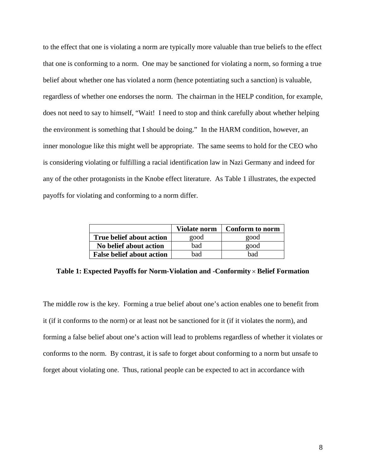to the effect that one is violating a norm are typically more valuable than true beliefs to the effect that one is conforming to a norm. One may be sanctioned for violating a norm, so forming a true belief about whether one has violated a norm (hence potentiating such a sanction) is valuable, regardless of whether one endorses the norm. The chairman in the HELP condition, for example, does not need to say to himself, "Wait! I need to stop and think carefully about whether helping the environment is something that I should be doing." In the HARM condition, however, an inner monologue like this might well be appropriate. The same seems to hold for the CEO who is considering violating or fulfilling a racial identification law in Nazi Germany and indeed for any of the other protagonists in the Knobe effect literature. As Table 1 illustrates, the expected payoffs for violating and conforming to a norm differ.

|                                  | Violate norm | Conform to norm |
|----------------------------------|--------------|-----------------|
| <b>True belief about action</b>  | good         | good            |
| No belief about action           | bad          | good            |
| <b>False belief about action</b> | bad          | bad             |

**Table 1: Expected Payoffs for Norm-Violation and -Conformity** × **Belief Formation**

The middle row is the key. Forming a true belief about one's action enables one to benefit from it (if it conforms to the norm) or at least not be sanctioned for it (if it violates the norm), and forming a false belief about one's action will lead to problems regardless of whether it violates or conforms to the norm. By contrast, it is safe to forget about conforming to a norm but unsafe to forget about violating one. Thus, rational people can be expected to act in accordance with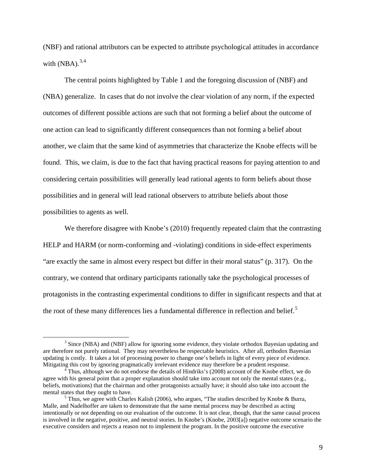(NBF) and rational attributors can be expected to attribute psychological attitudes in accordance with  $(NBA)$ .<sup>[3](#page-8-0),[4](#page-8-1)</sup>

The central points highlighted by Table 1 and the foregoing discussion of (NBF) and (NBA) generalize. In cases that do not involve the clear violation of any norm, if the expected outcomes of different possible actions are such that not forming a belief about the outcome of one action can lead to significantly different consequences than not forming a belief about another, we claim that the same kind of asymmetries that characterize the Knobe effects will be found. This, we claim, is due to the fact that having practical reasons for paying attention to and considering certain possibilities will generally lead rational agents to form beliefs about those possibilities and in general will lead rational observers to attribute beliefs about those possibilities to agents as well.

We therefore disagree with Knobe's (2010) frequently repeated claim that the contrasting HELP and HARM (or norm-conforming and -violating) conditions in side-effect experiments "are exactly the same in almost every respect but differ in their moral status" (p. 317). On the contrary, we contend that ordinary participants rationally take the psychological processes of protagonists in the contrasting experimental conditions to differ in significant respects and that at the root of these many differences lies a fundamental difference in reflection and belief.<sup>[5](#page-8-2)</sup>

<span id="page-8-0"></span><sup>&</sup>lt;sup>3</sup> Since (NBA) and (NBF) allow for ignoring some evidence, they violate orthodox Bayesian updating and are therefore not purely rational. They may nevertheless be respectable heuristics. After all, orthodox Bayesian updating is costly. It takes a lot of processing power to change one's beliefs in light of every piece of evidence.

<span id="page-8-1"></span>Thus, although we do not endorse the details of Hindriks's (2008) account of the Knobe effect, we do agree with his general point that a proper explanation should take into account not only the mental states (e.g., beliefs, motivations) that the chairman and other protagonists actually have; it should also take into account the mental states that they ought to have.<br><sup>5</sup> Thus, we agree with Charles Kalish (2006), who argues, "The studies described by Knobe & Burra,

<span id="page-8-2"></span>Malle, and Nadelhoffer are taken to demonstrate that the same mental process may be described as acting intentionally or not depending on our evaluation of the outcome. It is not clear, though, that the same causal process is involved in the negative, positive, and neutral stories. In Knobe's (Knobe, 2003[a]) negative outcome scenario the executive considers and rejects a reason not to implement the program. In the positive outcome the executive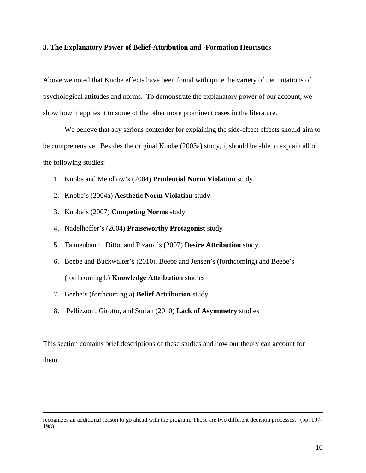# **3. The Explanatory Power of Belief-Attribution and -Formation Heuristics**

Above we noted that Knobe effects have been found with quite the variety of permutations of psychological attitudes and norms. To demonstrate the explanatory power of our account, we show how it applies it to some of the other more prominent cases in the literature.

We believe that any serious contender for explaining the side-effect effects should aim to be comprehensive. Besides the original Knobe (2003a) study, it should be able to explain all of the following studies:

- 1. Knobe and Mendlow's (2004) **Prudential Norm Violation** study
- 2. Knobe's (2004a) **Aesthetic Norm Violation** study
- 3. Knobe's (2007) **Competing Norms** study
- 4. Nadelhoffer's (2004) **Praiseworthy Protagonist** study
- 5. Tannenbaum, Ditto, and Pizarro's (2007) **Desire Attribution** study
- 6. Beebe and Buckwalter's (2010), Beebe and Jensen's (forthcoming) and Beebe's (forthcoming b) **Knowledge Attribution** studies
- 7. Beebe's (forthcoming a) **Belief Attribution** study

 $\overline{a}$ 

8. Pellizzoni, Girotto, and Surian (2010) **Lack of Asymmetry** studies

This section contains brief descriptions of these studies and how our theory can account for them.

recognizes an additional reason to go ahead with the program. Those are two different decision processes." (pp. 197- 198)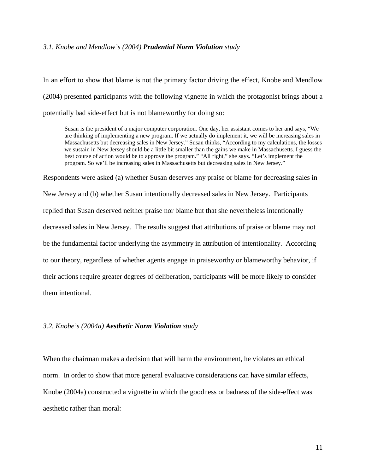#### *3.1. Knobe and Mendlow's (2004) Prudential Norm Violation study*

In an effort to show that blame is not the primary factor driving the effect, Knobe and Mendlow (2004) presented participants with the following vignette in which the protagonist brings about a potentially bad side-effect but is not blameworthy for doing so:

Susan is the president of a major computer corporation. One day, her assistant comes to her and says, "We are thinking of implementing a new program. If we actually do implement it, we will be increasing sales in Massachusetts but decreasing sales in New Jersey." Susan thinks, "According to my calculations, the losses we sustain in New Jersey should be a little bit smaller than the gains we make in Massachusetts. I guess the best course of action would be to approve the program." "All right," she says. "Let's implement the program. So we'll be increasing sales in Massachusetts but decreasing sales in New Jersey."

Respondents were asked (a) whether Susan deserves any praise or blame for decreasing sales in

New Jersey and (b) whether Susan intentionally decreased sales in New Jersey. Participants replied that Susan deserved neither praise nor blame but that she nevertheless intentionally decreased sales in New Jersey. The results suggest that attributions of praise or blame may not be the fundamental factor underlying the asymmetry in attribution of intentionality. According to our theory, regardless of whether agents engage in praiseworthy or blameworthy behavior, if their actions require greater degrees of deliberation, participants will be more likely to consider them intentional.

#### *3.2. Knobe's (2004a) Aesthetic Norm Violation study*

When the chairman makes a decision that will harm the environment, he violates an ethical norm. In order to show that more general evaluative considerations can have similar effects, Knobe (2004a) constructed a vignette in which the goodness or badness of the side-effect was aesthetic rather than moral: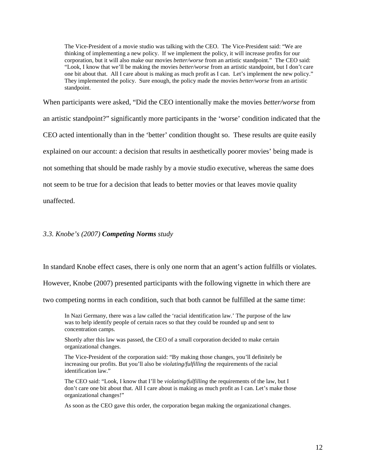The Vice-President of a movie studio was talking with the CEO. The Vice-President said: "We are thinking of implementing a new policy. If we implement the policy, it will increase profits for our corporation, but it will also make our movies *better/worse* from an artistic standpoint." The CEO said: "Look, I know that we'll be making the movies *better/worse* from an artistic standpoint, but I don't care one bit about that. All I care about is making as much profit as I can. Let's implement the new policy." They implemented the policy. Sure enough, the policy made the movies *better/worse* from an artistic standpoint.

When participants were asked, "Did the CEO intentionally make the movies *better/worse* from an artistic standpoint?" significantly more participants in the 'worse' condition indicated that the CEO acted intentionally than in the 'better' condition thought so. These results are quite easily explained on our account: a decision that results in aesthetically poorer movies' being made is not something that should be made rashly by a movie studio executive, whereas the same does not seem to be true for a decision that leads to better movies or that leaves movie quality unaffected.

# *3.3. Knobe's (2007) Competing Norms study*

In standard Knobe effect cases, there is only one norm that an agent's action fulfills or violates.

However, Knobe (2007) presented participants with the following vignette in which there are

two competing norms in each condition, such that both cannot be fulfilled at the same time:

In Nazi Germany, there was a law called the 'racial identification law.' The purpose of the law was to help identify people of certain races so that they could be rounded up and sent to concentration camps.

Shortly after this law was passed, the CEO of a small corporation decided to make certain organizational changes.

The Vice-President of the corporation said: "By making those changes, you'll definitely be increasing our profits. But you'll also be *violating/fulfilling* the requirements of the racial identification law."

The CEO said: "Look, I know that I'll be *violating/fulfilling* the requirements of the law, but I don't care one bit about that. All I care about is making as much profit as I can. Let's make those organizational changes!"

As soon as the CEO gave this order, the corporation began making the organizational changes.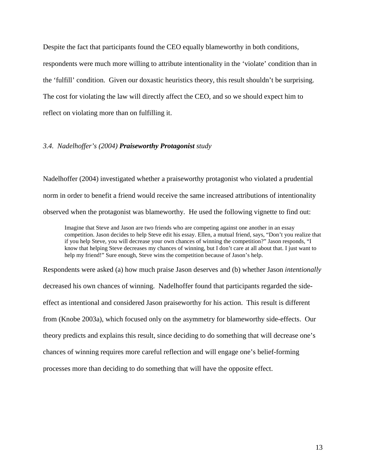Despite the fact that participants found the CEO equally blameworthy in both conditions, respondents were much more willing to attribute intentionality in the 'violate' condition than in the 'fulfill' condition. Given our doxastic heuristics theory, this result shouldn't be surprising. The cost for violating the law will directly affect the CEO, and so we should expect him to reflect on violating more than on fulfilling it.

# *3.4. Nadelhoffer's (2004) Praiseworthy Protagonist study*

Nadelhoffer (2004) investigated whether a praiseworthy protagonist who violated a prudential norm in order to benefit a friend would receive the same increased attributions of intentionality observed when the protagonist was blameworthy. He used the following vignette to find out:

Imagine that Steve and Jason are two friends who are competing against one another in an essay competition. Jason decides to help Steve edit his essay. Ellen, a mutual friend, says, "Don't you realize that if you help Steve, you will decrease your own chances of winning the competition?" Jason responds, "I know that helping Steve decreases my chances of winning, but I don't care at all about that. I just want to help my friend!" Sure enough, Steve wins the competition because of Jason's help.

Respondents were asked (a) how much praise Jason deserves and (b) whether Jason *intentionally* decreased his own chances of winning. Nadelhoffer found that participants regarded the sideeffect as intentional and considered Jason praiseworthy for his action. This result is different from (Knobe 2003a), which focused only on the asymmetry for blameworthy side-effects. Our theory predicts and explains this result, since deciding to do something that will decrease one's chances of winning requires more careful reflection and will engage one's belief-forming processes more than deciding to do something that will have the opposite effect.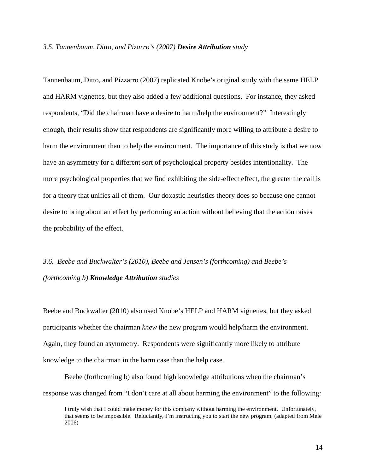#### *3.5. Tannenbaum, Ditto, and Pizarro's (2007) Desire Attribution study*

Tannenbaum, Ditto, and Pizzarro (2007) replicated Knobe's original study with the same HELP and HARM vignettes, but they also added a few additional questions. For instance, they asked respondents, "Did the chairman have a desire to harm/help the environment?" Interestingly enough, their results show that respondents are significantly more willing to attribute a desire to harm the environment than to help the environment. The importance of this study is that we now have an asymmetry for a different sort of psychological property besides intentionality. The more psychological properties that we find exhibiting the side-effect effect, the greater the call is for a theory that unifies all of them. Our doxastic heuristics theory does so because one cannot desire to bring about an effect by performing an action without believing that the action raises the probability of the effect.

# *3.6. Beebe and Buckwalter's (2010), Beebe and Jensen's (forthcoming) and Beebe's (forthcoming b) Knowledge Attribution studies*

Beebe and Buckwalter (2010) also used Knobe's HELP and HARM vignettes, but they asked participants whether the chairman *knew* the new program would help/harm the environment. Again, they found an asymmetry. Respondents were significantly more likely to attribute knowledge to the chairman in the harm case than the help case.

Beebe (forthcoming b) also found high knowledge attributions when the chairman's response was changed from "I don't care at all about harming the environment" to the following:

I truly wish that I could make money for this company without harming the environment. Unfortunately, that seems to be impossible. Reluctantly, I'm instructing you to start the new program. (adapted from Mele 2006)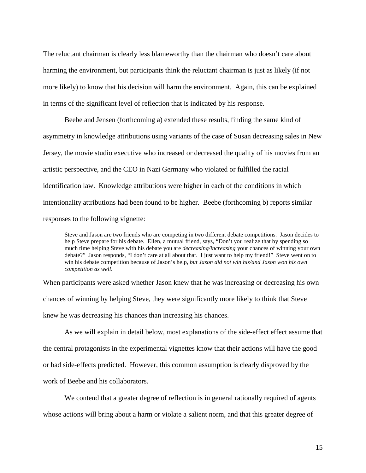The reluctant chairman is clearly less blameworthy than the chairman who doesn't care about harming the environment, but participants think the reluctant chairman is just as likely (if not more likely) to know that his decision will harm the environment. Again, this can be explained in terms of the significant level of reflection that is indicated by his response.

Beebe and Jensen (forthcoming a) extended these results, finding the same kind of asymmetry in knowledge attributions using variants of the case of Susan decreasing sales in New Jersey, the movie studio executive who increased or decreased the quality of his movies from an artistic perspective, and the CEO in Nazi Germany who violated or fulfilled the racial identification law. Knowledge attributions were higher in each of the conditions in which intentionality attributions had been found to be higher. Beebe (forthcoming b) reports similar responses to the following vignette:

Steve and Jason are two friends who are competing in two different debate competitions. Jason decides to help Steve prepare for his debate. Ellen, a mutual friend, says, "Don't you realize that by spending so much time helping Steve with his debate you are *decreasing/increasing* your chances of winning your own debate?" Jason responds, "I don't care at all about that. I just want to help my friend!" Steve went on to win his debate competition because of Jason's help, *but Jason did not win his/and Jason won his own competition as well*.

When participants were asked whether Jason knew that he was increasing or decreasing his own chances of winning by helping Steve, they were significantly more likely to think that Steve knew he was decreasing his chances than increasing his chances.

As we will explain in detail below, most explanations of the side-effect effect assume that the central protagonists in the experimental vignettes know that their actions will have the good or bad side-effects predicted. However, this common assumption is clearly disproved by the work of Beebe and his collaborators.

We contend that a greater degree of reflection is in general rationally required of agents whose actions will bring about a harm or violate a salient norm, and that this greater degree of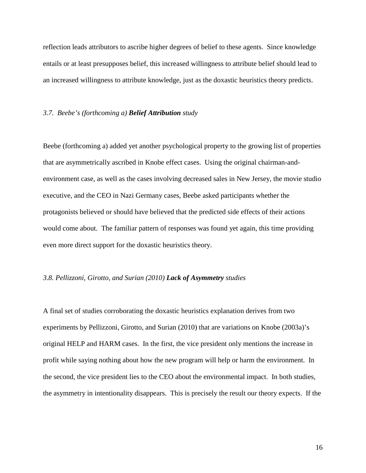reflection leads attributors to ascribe higher degrees of belief to these agents. Since knowledge entails or at least presupposes belief, this increased willingness to attribute belief should lead to an increased willingness to attribute knowledge, just as the doxastic heuristics theory predicts.

# *3.7. Beebe's (forthcoming a) Belief Attribution study*

Beebe (forthcoming a) added yet another psychological property to the growing list of properties that are asymmetrically ascribed in Knobe effect cases. Using the original chairman-andenvironment case, as well as the cases involving decreased sales in New Jersey, the movie studio executive, and the CEO in Nazi Germany cases, Beebe asked participants whether the protagonists believed or should have believed that the predicted side effects of their actions would come about. The familiar pattern of responses was found yet again, this time providing even more direct support for the doxastic heuristics theory.

# *3.8. Pellizzoni, Girotto, and Surian (2010) Lack of Asymmetry studies*

A final set of studies corroborating the doxastic heuristics explanation derives from two experiments by Pellizzoni, Girotto, and Surian (2010) that are variations on Knobe (2003a)'s original HELP and HARM cases. In the first, the vice president only mentions the increase in profit while saying nothing about how the new program will help or harm the environment. In the second, the vice president lies to the CEO about the environmental impact. In both studies, the asymmetry in intentionality disappears. This is precisely the result our theory expects. If the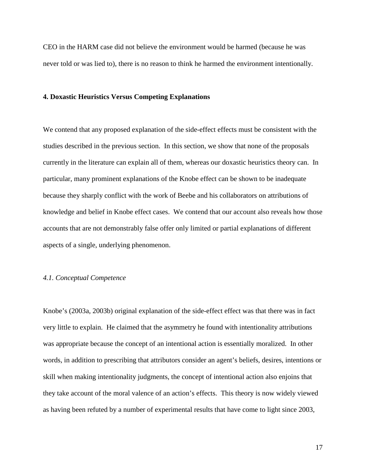CEO in the HARM case did not believe the environment would be harmed (because he was never told or was lied to), there is no reason to think he harmed the environment intentionally.

#### **4. Doxastic Heuristics Versus Competing Explanations**

We contend that any proposed explanation of the side-effect effects must be consistent with the studies described in the previous section. In this section, we show that none of the proposals currently in the literature can explain all of them, whereas our doxastic heuristics theory can. In particular, many prominent explanations of the Knobe effect can be shown to be inadequate because they sharply conflict with the work of Beebe and his collaborators on attributions of knowledge and belief in Knobe effect cases. We contend that our account also reveals how those accounts that are not demonstrably false offer only limited or partial explanations of different aspects of a single, underlying phenomenon.

# *4.1. Conceptual Competence*

Knobe's (2003a, 2003b) original explanation of the side-effect effect was that there was in fact very little to explain. He claimed that the asymmetry he found with intentionality attributions was appropriate because the concept of an intentional action is essentially moralized. In other words, in addition to prescribing that attributors consider an agent's beliefs, desires, intentions or skill when making intentionality judgments, the concept of intentional action also enjoins that they take account of the moral valence of an action's effects. This theory is now widely viewed as having been refuted by a number of experimental results that have come to light since 2003,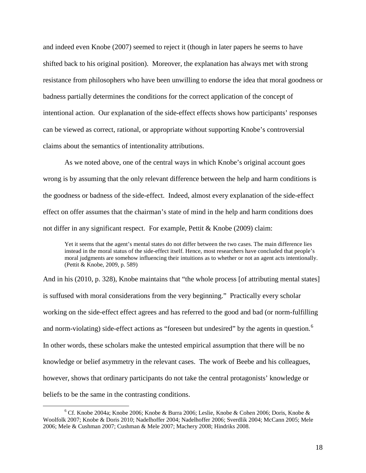and indeed even Knobe (2007) seemed to reject it (though in later papers he seems to have shifted back to his original position). Moreover, the explanation has always met with strong resistance from philosophers who have been unwilling to endorse the idea that moral goodness or badness partially determines the conditions for the correct application of the concept of intentional action. Our explanation of the side-effect effects shows how participants' responses can be viewed as correct, rational, or appropriate without supporting Knobe's controversial claims about the semantics of intentionality attributions.

As we noted above, one of the central ways in which Knobe's original account goes wrong is by assuming that the only relevant difference between the help and harm conditions is the goodness or badness of the side-effect. Indeed, almost every explanation of the side-effect effect on offer assumes that the chairman's state of mind in the help and harm conditions does not differ in any significant respect. For example, Pettit & Knobe (2009) claim:

Yet it seems that the agent's mental states do not differ between the two cases. The main difference lies instead in the moral status of the side-effect itself. Hence, most researchers have concluded that people's moral judgments are somehow influencing their intuitions as to whether or not an agent acts intentionally. (Pettit & Knobe, 2009, p. 589)

And in his (2010, p. 328), Knobe maintains that "the whole process [of attributing mental states] is suffused with moral considerations from the very beginning." Practically every scholar working on the side-effect effect agrees and has referred to the good and bad (or norm-fulfilling and norm-violating) side-effect actions as "foreseen but undesired" by the agents in question.<sup>[6](#page-17-0)</sup> In other words, these scholars make the untested empirical assumption that there will be no knowledge or belief asymmetry in the relevant cases. The work of Beebe and his colleagues, however, shows that ordinary participants do not take the central protagonists' knowledge or beliefs to be the same in the contrasting conditions.

<span id="page-17-0"></span> $6$  Cf. Knobe 2004a; Knobe 2006; Knobe & Burra 2006; Leslie, Knobe & Cohen 2006; Doris, Knobe & Woolfolk 2007; Knobe & Doris 2010; Nadelhoffer 2004; Nadelhoffer 2006; Sverdlik 2004; McCann 2005; Mele 2006; Mele & Cushman 2007; Cushman & Mele 2007; Machery 2008; Hindriks 2008.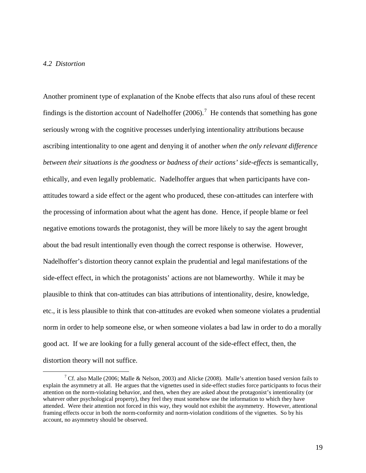# *4.2 Distortion*

Another prominent type of explanation of the Knobe effects that also runs afoul of these recent findings is the distortion account of Nadelhoffer  $(2006)$ .<sup>[7](#page-18-0)</sup> He contends that something has gone seriously wrong with the cognitive processes underlying intentionality attributions because ascribing intentionality to one agent and denying it of another *when the only relevant difference between their situations is the goodness or badness of their actions' side-effects* is semantically, ethically, and even legally problematic. Nadelhoffer argues that when participants have conattitudes toward a side effect or the agent who produced, these con-attitudes can interfere with the processing of information about what the agent has done. Hence, if people blame or feel negative emotions towards the protagonist, they will be more likely to say the agent brought about the bad result intentionally even though the correct response is otherwise. However, Nadelhoffer's distortion theory cannot explain the prudential and legal manifestations of the side-effect effect, in which the protagonists' actions are not blameworthy. While it may be plausible to think that con-attitudes can bias attributions of intentionality, desire, knowledge, etc., it is less plausible to think that con-attitudes are evoked when someone violates a prudential norm in order to help someone else, or when someone violates a bad law in order to do a morally good act. If we are looking for a fully general account of the side-effect effect, then, the distortion theory will not suffice.

<span id="page-18-0"></span><sup>&</sup>lt;sup>7</sup> Cf. also Malle (2006; Malle & Nelson, 2003) and Alicke (2008). Malle's attention based version fails to explain the asymmetry at all. He argues that the vignettes used in side-effect studies force participants to focus their attention on the norm-violating behavior, and then, when they are asked about the protagonist's intentionality (or whatever other psychological property), they feel they must somehow use the information to which they have attended. Were their attention not forced in this way, they would not exhibit the asymmetry. However, attentional framing effects occur in both the norm-conformity and norm-violation conditions of the vignettes. So by his account, no asymmetry should be observed.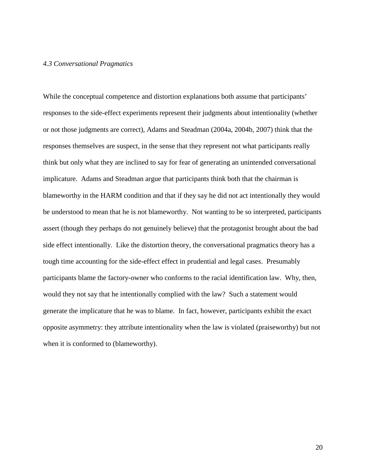#### *4.3 Conversational Pragmatics*

While the conceptual competence and distortion explanations both assume that participants' responses to the side-effect experiments represent their judgments about intentionality (whether or not those judgments are correct), Adams and Steadman (2004a, 2004b, 2007) think that the responses themselves are suspect, in the sense that they represent not what participants really think but only what they are inclined to say for fear of generating an unintended conversational implicature. Adams and Steadman argue that participants think both that the chairman is blameworthy in the HARM condition and that if they say he did not act intentionally they would be understood to mean that he is not blameworthy. Not wanting to be so interpreted, participants assert (though they perhaps do not genuinely believe) that the protagonist brought about the bad side effect intentionally. Like the distortion theory, the conversational pragmatics theory has a tough time accounting for the side-effect effect in prudential and legal cases. Presumably participants blame the factory-owner who conforms to the racial identification law. Why, then, would they not say that he intentionally complied with the law? Such a statement would generate the implicature that he was to blame. In fact, however, participants exhibit the exact opposite asymmetry: they attribute intentionality when the law is violated (praiseworthy) but not when it is conformed to (blameworthy).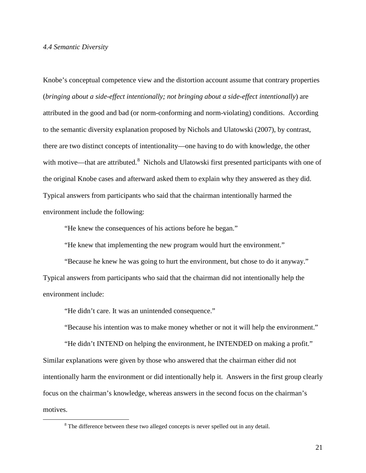#### *4.4 Semantic Diversity*

Knobe's conceptual competence view and the distortion account assume that contrary properties (*bringing about a side-effect intentionally; not bringing about a side-effect intentionally*) are attributed in the good and bad (or norm-conforming and norm-violating) conditions. According to the semantic diversity explanation proposed by Nichols and Ulatowski (2007), by contrast, there are two distinct concepts of intentionality—one having to do with knowledge, the other with motive—that are attributed.<sup>[8](#page-20-0)</sup> Nichols and Ulatowski first presented participants with one of the original Knobe cases and afterward asked them to explain why they answered as they did. Typical answers from participants who said that the chairman intentionally harmed the environment include the following:

"He knew the consequences of his actions before he began."

"He knew that implementing the new program would hurt the environment."

"Because he knew he was going to hurt the environment, but chose to do it anyway." Typical answers from participants who said that the chairman did not intentionally help the environment include:

"He didn't care. It was an unintended consequence."

"Because his intention was to make money whether or not it will help the environment."

"He didn't INTEND on helping the environment, he INTENDED on making a profit." Similar explanations were given by those who answered that the chairman either did not intentionally harm the environment or did intentionally help it. Answers in the first group clearly focus on the chairman's knowledge, whereas answers in the second focus on the chairman's motives.

<span id="page-20-0"></span><sup>&</sup>lt;sup>8</sup> The difference between these two alleged concepts is never spelled out in any detail.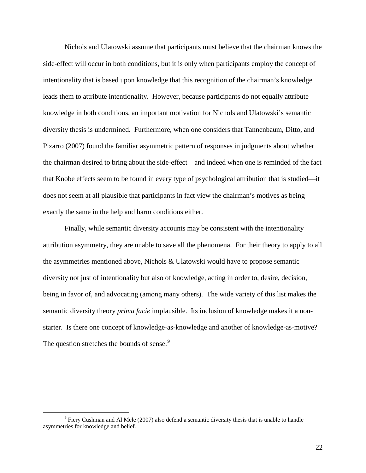Nichols and Ulatowski assume that participants must believe that the chairman knows the side-effect will occur in both conditions, but it is only when participants employ the concept of intentionality that is based upon knowledge that this recognition of the chairman's knowledge leads them to attribute intentionality. However, because participants do not equally attribute knowledge in both conditions, an important motivation for Nichols and Ulatowski's semantic diversity thesis is undermined. Furthermore, when one considers that Tannenbaum, Ditto, and Pizarro (2007) found the familiar asymmetric pattern of responses in judgments about whether the chairman desired to bring about the side-effect—and indeed when one is reminded of the fact that Knobe effects seem to be found in every type of psychological attribution that is studied—it does not seem at all plausible that participants in fact view the chairman's motives as being exactly the same in the help and harm conditions either.

Finally, while semantic diversity accounts may be consistent with the intentionality attribution asymmetry, they are unable to save all the phenomena. For their theory to apply to all the asymmetries mentioned above, Nichols & Ulatowski would have to propose semantic diversity not just of intentionality but also of knowledge, acting in order to, desire, decision, being in favor of, and advocating (among many others). The wide variety of this list makes the semantic diversity theory *prima facie* implausible. Its inclusion of knowledge makes it a nonstarter. Is there one concept of knowledge-as-knowledge and another of knowledge-as-motive? The question stretches the bounds of sense.<sup>[9](#page-21-0)</sup>

<span id="page-21-0"></span> $9$  Fiery Cushman and Al Mele (2007) also defend a semantic diversity thesis that is unable to handle asymmetries for knowledge and belief.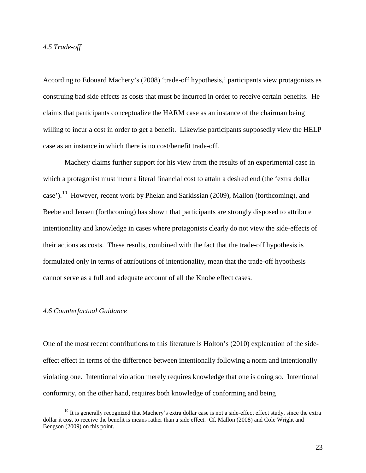### *4.5 Trade-off*

According to Edouard Machery's (2008) 'trade-off hypothesis,' participants view protagonists as construing bad side effects as costs that must be incurred in order to receive certain benefits. He claims that participants conceptualize the HARM case as an instance of the chairman being willing to incur a cost in order to get a benefit. Likewise participants supposedly view the HELP case as an instance in which there is no cost/benefit trade-off.

Machery claims further support for his view from the results of an experimental case in which a protagonist must incur a literal financial cost to attain a desired end (the 'extra dollar case').<sup>[10](#page-22-0)</sup> However, recent work by Phelan and Sarkissian (2009), Mallon (forthcoming), and Beebe and Jensen (forthcoming) has shown that participants are strongly disposed to attribute intentionality and knowledge in cases where protagonists clearly do not view the side-effects of their actions as costs. These results, combined with the fact that the trade-off hypothesis is formulated only in terms of attributions of intentionality, mean that the trade-off hypothesis cannot serve as a full and adequate account of all the Knobe effect cases.

#### *4.6 Counterfactual Guidance*

One of the most recent contributions to this literature is Holton's (2010) explanation of the sideeffect effect in terms of the difference between intentionally following a norm and intentionally violating one. Intentional violation merely requires knowledge that one is doing so. Intentional conformity, on the other hand, requires both knowledge of conforming and being

<span id="page-22-0"></span> $10$  It is generally recognized that Machery's extra dollar case is not a side-effect effect study, since the extra dollar it cost to receive the benefit is means rather than a side effect. Cf. Mallon (2008) and Cole Wright and Bengson (2009) on this point.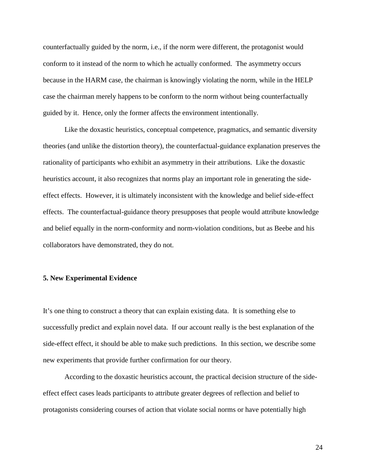counterfactually guided by the norm, i.e., if the norm were different, the protagonist would conform to it instead of the norm to which he actually conformed. The asymmetry occurs because in the HARM case, the chairman is knowingly violating the norm, while in the HELP case the chairman merely happens to be conform to the norm without being counterfactually guided by it. Hence, only the former affects the environment intentionally.

Like the doxastic heuristics, conceptual competence, pragmatics, and semantic diversity theories (and unlike the distortion theory), the counterfactual-guidance explanation preserves the rationality of participants who exhibit an asymmetry in their attributions. Like the doxastic heuristics account, it also recognizes that norms play an important role in generating the sideeffect effects. However, it is ultimately inconsistent with the knowledge and belief side-effect effects. The counterfactual-guidance theory presupposes that people would attribute knowledge and belief equally in the norm-conformity and norm-violation conditions, but as Beebe and his collaborators have demonstrated, they do not.

# **5. New Experimental Evidence**

It's one thing to construct a theory that can explain existing data. It is something else to successfully predict and explain novel data. If our account really is the best explanation of the side-effect effect, it should be able to make such predictions. In this section, we describe some new experiments that provide further confirmation for our theory.

According to the doxastic heuristics account, the practical decision structure of the sideeffect effect cases leads participants to attribute greater degrees of reflection and belief to protagonists considering courses of action that violate social norms or have potentially high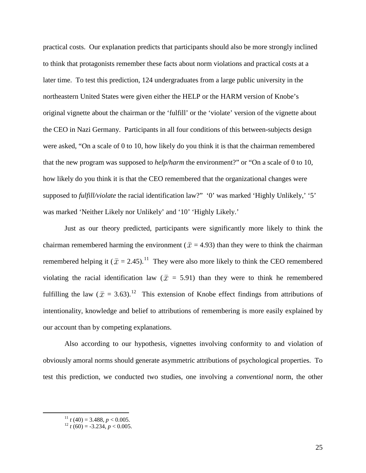practical costs. Our explanation predicts that participants should also be more strongly inclined to think that protagonists remember these facts about norm violations and practical costs at a later time. To test this prediction, 124 undergraduates from a large public university in the northeastern United States were given either the HELP or the HARM version of Knobe's original vignette about the chairman or the 'fulfill' or the 'violate' version of the vignette about the CEO in Nazi Germany. Participants in all four conditions of this between-subjects design were asked, "On a scale of 0 to 10, how likely do you think it is that the chairman remembered that the new program was supposed to *help/harm* the environment?" or "On a scale of 0 to 10, how likely do you think it is that the CEO remembered that the organizational changes were supposed to *fulfill/violate* the racial identification law?" '0' was marked 'Highly Unlikely,' '5' was marked 'Neither Likely nor Unlikely' and '10' 'Highly Likely.'

Just as our theory predicted, participants were significantly more likely to think the chairman remembered harming the environment ( $\bar{x}$  = 4.93) than they were to think the chairman remembered helping it ( $\bar{x} = 2.45$ ).<sup>[11](#page-24-0)</sup> They were also more likely to think the CEO remembered violating the racial identification law ( $\bar{x}$  = 5.91) than they were to think he remembered fulfilling the law ( $\bar{x}$  = 3.63).<sup>[12](#page-24-1)</sup> This extension of Knobe effect findings from attributions of intentionality, knowledge and belief to attributions of remembering is more easily explained by our account than by competing explanations.

Also according to our hypothesis, vignettes involving conformity to and violation of obviously amoral norms should generate asymmetric attributions of psychological properties. To test this prediction, we conducted two studies, one involving a *conventional* norm, the other

<span id="page-24-0"></span> $11 \atop{12} t$  (40) = 3.488, *p* < 0.005.<br><sup>12</sup> *t* (60) = -3.234, *p* < 0.005.

<span id="page-24-1"></span>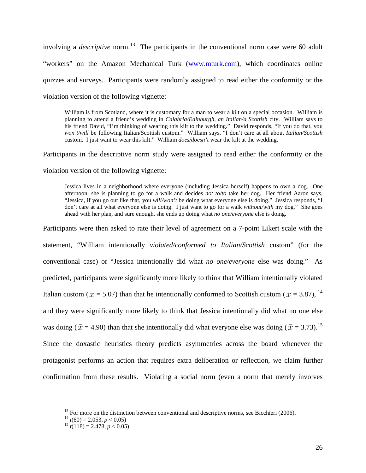involving a *descriptive* norm.<sup>[13](#page-25-0)</sup> The participants in the conventional norm case were 60 adult "workers" on the Amazon Mechanical Turk ([www.mturk.com](http://www.mturk.com/)), which coordinates online quizzes and surveys. Participants were randomly assigned to read either the conformity or the violation version of the following vignette:

William is from Scotland, where it is customary for a man to wear a kilt on a special occasion. William is planning to attend a friend's wedding in *Calabria/Edinburgh*, *an Italian/a Scottish* city. William says to his friend David, "I'm thinking of wearing this kilt to the wedding." David responds, "If you do that, you *won't/will* be following Italian/Scottish custom." William says, "I don't care at all about *Italian/Scottish* custom. I just want to wear this kilt." William *does/doesn't* wear the kilt at the wedding.

Participants in the descriptive norm study were assigned to read either the conformity or the violation version of the following vignette:

Jessica lives in a neighborhood where everyone (including Jessica herself) happens to own a dog. One afternoon, she is planning to go for a walk and decides *not to/to* take her dog. Her friend Aaron says, "Jessica, if you go out like that, you *will/won't* be doing what everyone else is doing." Jessica responds, "I don't care at all what everyone else is doing. I just want to go for a walk *without/with* my dog." She goes ahead with her plan, and sure enough, she ends up doing what *no one/everyone* else is doing.

Participants were then asked to rate their level of agreement on a 7-point Likert scale with the statement, "William intentionally *violated/conformed to Italian/Scottish* custom" (for the conventional case) or "Jessica intentionally did what *no one/everyone* else was doing." As predicted, participants were significantly more likely to think that William intentionally violated Italian custom ( $\bar{x}$  = 5.07) than that he intentionally conformed to Scottish custom ( $\bar{x}$  = 3.87), <sup>[14](#page-25-1)</sup> and they were significantly more likely to think that Jessica intentionally did what no one else was doing ( $\bar{x}$  = 4.90) than that she intentionally did what everyone else was doing ( $\bar{x}$  = 3.73).<sup>[15](#page-25-2)</sup> Since the doxastic heuristics theory predicts asymmetries across the board whenever the protagonist performs an action that requires extra deliberation or reflection, we claim further confirmation from these results. Violating a social norm (even a norm that merely involves

<span id="page-25-0"></span><sup>&</sup>lt;sup>13</sup> For more on the distinction between conventional and descriptive norms, see Bicchieri (2006).<br><sup>14</sup>  $t(60) = 2.053$ ,  $p < 0.05$ )

<span id="page-25-1"></span>

<span id="page-25-2"></span> $t^{15}$  *t*(118) = 2.478, *p* < 0.05)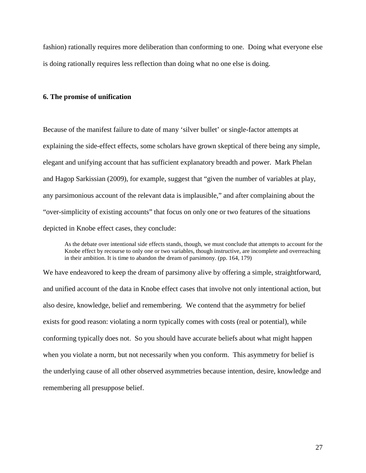fashion) rationally requires more deliberation than conforming to one. Doing what everyone else is doing rationally requires less reflection than doing what no one else is doing.

#### **6. The promise of unification**

Because of the manifest failure to date of many 'silver bullet' or single-factor attempts at explaining the side-effect effects, some scholars have grown skeptical of there being any simple, elegant and unifying account that has sufficient explanatory breadth and power. Mark Phelan and Hagop Sarkissian (2009), for example, suggest that "given the number of variables at play, any parsimonious account of the relevant data is implausible," and after complaining about the "over-simplicity of existing accounts" that focus on only one or two features of the situations depicted in Knobe effect cases, they conclude:

As the debate over intentional side effects stands, though, we must conclude that attempts to account for the Knobe effect by recourse to only one or two variables, though instructive, are incomplete and overreaching in their ambition. It is time to abandon the dream of parsimony. (pp. 164, 179)

We have endeavored to keep the dream of parsimony alive by offering a simple, straightforward, and unified account of the data in Knobe effect cases that involve not only intentional action, but also desire, knowledge, belief and remembering. We contend that the asymmetry for belief exists for good reason: violating a norm typically comes with costs (real or potential), while conforming typically does not. So you should have accurate beliefs about what might happen when you violate a norm, but not necessarily when you conform. This asymmetry for belief is the underlying cause of all other observed asymmetries because intention, desire, knowledge and remembering all presuppose belief.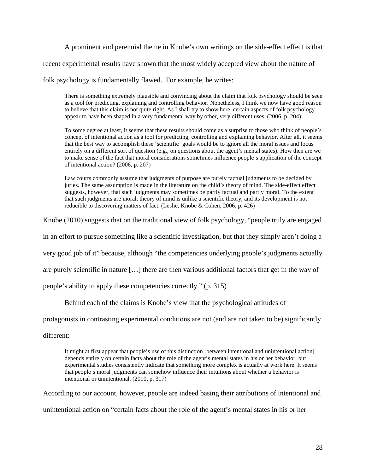A prominent and perennial theme in Knobe's own writings on the side-effect effect is that

recent experimental results have shown that the most widely accepted view about the nature of

folk psychology is fundamentally flawed. For example, he writes:

There is something extremely plausible and convincing about the claim that folk psychology should be seen as a tool for predicting, explaining and controlling behavior. Nonetheless, I think we now have good reason to believe that this claim is not quite right. As I shall try to show here, certain aspects of folk psychology appear to have been shaped in a very fundamental way by other, very different uses. (2006, p. 204)

To some degree at least, it seems that these results should come as a surprise to those who think of people's concept of intentional action as a tool for predicting, controlling and explaining behavior. After all, it seems that the best way to accomplish these 'scientific' goals would be to ignore all the moral issues and focus entirely on a different sort of question (e.g., on questions about the agent's mental states). How then are we to make sense of the fact that moral considerations sometimes influence people's application of the concept of intentional action? (2006, p. 207)

Law courts commonly assume that judgments of purpose are purely factual judgments to be decided by juries. The same assumption is made in the literature on the child's theory of mind. The side-effect effect suggests, however, that such judgments may sometimes be partly factual and partly moral. To the extent that such judgments are moral, theory of mind is unlike a scientific theory, and its development is not reducible to discovering matters of fact. (Leslie, Knobe & Cohen, 2006, p. 426)

Knobe (2010) suggests that on the traditional view of folk psychology, "people truly are engaged

in an effort to pursue something like a scientific investigation, but that they simply aren't doing a

very good job of it" because, although "the competencies underlying people's judgments actually

are purely scientific in nature […] there are then various additional factors that get in the way of

people's ability to apply these competencies correctly." (p. 315)

Behind each of the claims is Knobe's view that the psychological attitudes of

protagonists in contrasting experimental conditions are not (and are not taken to be) significantly

different:

It might at first appear that people's use of this distinction [between intentional and unintentional action] depends entirely on certain facts about the role of the agent's mental states in his or her behavior, but experimental studies consistently indicate that something more complex is actually at work here. It seems that people's moral judgments can somehow influence their intuitions about whether a behavior is intentional or unintentional. (2010, p. 317)

According to our account, however, people are indeed basing their attributions of intentional and

unintentional action on "certain facts about the role of the agent's mental states in his or her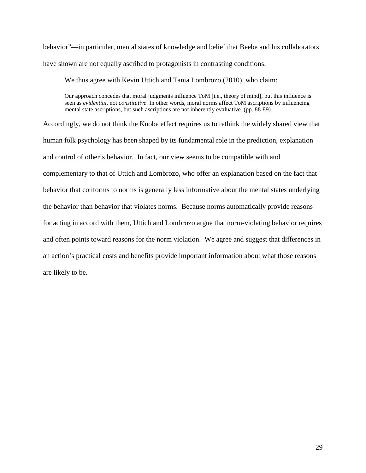behavior"—in particular, mental states of knowledge and belief that Beebe and his collaborators have shown are not equally ascribed to protagonists in contrasting conditions.

We thus agree with Kevin Uttich and Tania Lombrozo (2010), who claim:

Our approach concedes that moral judgments influence ToM [i.e., theory of mind], but this influence is seen as *evidential*, not *constitutive*. In other words, moral norms affect ToM ascriptions by influencing mental state ascriptions, but such ascriptions are not inherently evaluative. (pp. 88-89)

Accordingly, we do not think the Knobe effect requires us to rethink the widely shared view that human folk psychology has been shaped by its fundamental role in the prediction, explanation and control of other's behavior. In fact, our view seems to be compatible with and complementary to that of Uttich and Lombrozo, who offer an explanation based on the fact that behavior that conforms to norms is generally less informative about the mental states underlying the behavior than behavior that violates norms. Because norms automatically provide reasons for acting in accord with them, Uttich and Lombrozo argue that norm-violating behavior requires and often points toward reasons for the norm violation. We agree and suggest that differences in an action's practical costs and benefits provide important information about what those reasons are likely to be.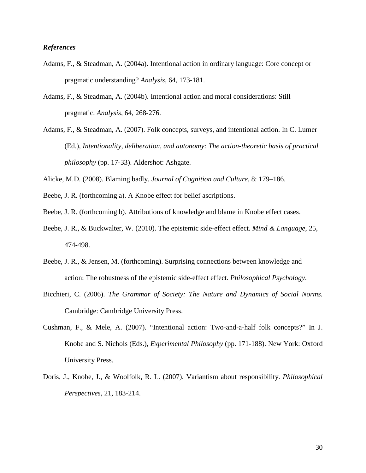# *References*

- Adams, F., & Steadman, A. (2004a). Intentional action in ordinary language: Core concept or pragmatic understanding? *Analysis*, 64, 173-181.
- Adams, F., & Steadman, A. (2004b). Intentional action and moral considerations: Still pragmatic. *Analysis*, 64, 268-276.
- Adams, F., & Steadman, A. (2007). Folk concepts, surveys, and intentional action. In C. Lumer (Ed.), *Intentionality, deliberation, and autonomy: The action-theoretic basis of practical philosophy* (pp. 17-33). Aldershot: Ashgate.
- Alicke, M.D. (2008). Blaming badly. *Journal of Cognition and Culture*, 8: 179–186.
- Beebe, J. R. (forthcoming a). A Knobe effect for belief ascriptions.
- Beebe, J. R. (forthcoming b). Attributions of knowledge and blame in Knobe effect cases.
- Beebe, J. R., & Buckwalter, W. (2010). The epistemic side-effect effect. *Mind & Language*, 25, 474-498.
- Beebe, J. R., & Jensen, M. (forthcoming). Surprising connections between knowledge and action: The robustness of the epistemic side-effect effect. *Philosophical Psychology*.
- Bicchieri, C. (2006). *The Grammar of Society: The Nature and Dynamics of Social Norms.*  Cambridge: Cambridge University Press.
- Cushman, F., & Mele, A. (2007). "Intentional action: Two-and-a-half folk concepts?" In J. Knobe and S. Nichols (Eds.), *Experimental Philosophy* (pp. 171-188). New York: Oxford University Press.
- Doris, J., Knobe, J., & Woolfolk, R. L. (2007). Variantism about responsibility. *Philosophical Perspectives*, 21, 183-214.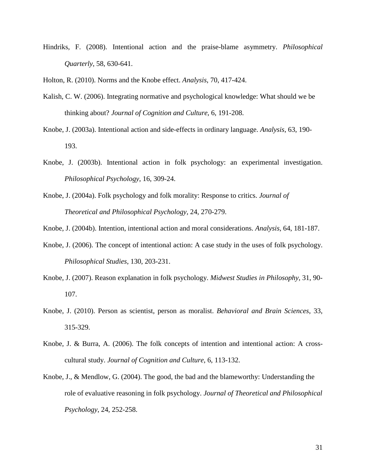Hindriks, F. (2008). Intentional action and the praise-blame asymmetry. *Philosophical Quarterly*, 58, 630-641.

Holton, R. (2010). Norms and the Knobe effect. *Analysis*, 70, 417-424.

- Kalish, C. W. (2006). Integrating normative and psychological knowledge: What should we be thinking about? *Journal of Cognition and Culture*, 6, 191-208.
- Knobe, J. (2003a). Intentional action and side-effects in ordinary language. *Analysis*, 63, 190- 193.
- Knobe, J. (2003b). Intentional action in folk psychology: an experimental investigation. *Philosophical Psychology*, 16, 309-24.
- Knobe, J. (2004a). Folk psychology and folk morality: Response to critics. *Journal of Theoretical and Philosophical Psychology,* 24, 270-279.

Knobe, J. (2004b). Intention, intentional action and moral considerations. *Analysis,* 64, 181-187.

- Knobe, J. (2006). The concept of intentional action: A case study in the uses of folk psychology. *Philosophical Studies*, 130, 203-231.
- Knobe, J. (2007). Reason explanation in folk psychology. *Midwest Studies in Philosophy*, 31, 90- 107.
- Knobe, J. (2010). Person as scientist, person as moralist. *Behavioral and Brain Sciences*, 33, 315-329.
- Knobe, J. & Burra, A. (2006). The folk concepts of intention and intentional action: A crosscultural study. *Journal of Cognition and Culture*, 6, 113-132.
- Knobe, J., & Mendlow, G. (2004). The good, the bad and the blameworthy: Understanding the role of evaluative reasoning in folk psychology. *Journal of Theoretical and Philosophical Psychology*, 24, 252-258.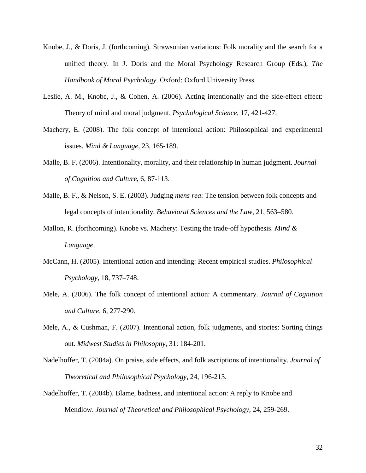- Knobe, J., & Doris, J. (forthcoming). Strawsonian variations: Folk morality and the search for a unified theory. In J. Doris and the Moral Psychology Research Group (Eds.), *The Handbook of Moral Psychology.* Oxford: Oxford University Press.
- Leslie, A. M., Knobe, J., & Cohen, A. (2006). Acting intentionally and the side-effect effect: Theory of mind and moral judgment. *Psychological Science*, 17, 421-427.
- Machery, E. (2008). The folk concept of intentional action: Philosophical and experimental issues. *Mind & Language*, 23, 165-189.
- Malle, B. F. (2006). Intentionality, morality, and their relationship in human judgment. *Journal of Cognition and Culture*, 6, 87-113.
- Malle, B. F., & Nelson, S. E. (2003). Judging *mens rea*: The tension between folk concepts and legal concepts of intentionality. *Behavioral Sciences and the Law*, 21, 563–580.
- Mallon, R. (forthcoming). Knobe vs. Machery: Testing the trade-off hypothesis. *Mind & Language*.
- McCann, H. (2005). Intentional action and intending: Recent empirical studies. *Philosophical Psychology*, 18, 737–748.
- Mele, A. (2006). The folk concept of intentional action: A commentary. *Journal of Cognition and Culture*, 6, 277-290.
- Mele, A., & Cushman, F. (2007). Intentional action, folk judgments, and stories: Sorting things out. *Midwest Studies in Philosophy*, 31: 184-201.
- Nadelhoffer, T. (2004a). On praise, side effects, and folk ascriptions of intentionality. *Journal of Theoretical and Philosophical Psychology,* 24, 196-213.
- Nadelhoffer, T. (2004b). Blame, badness, and intentional action: A reply to Knobe and Mendlow. *Journal of Theoretical and Philosophical Psychology,* 24, 259-269.